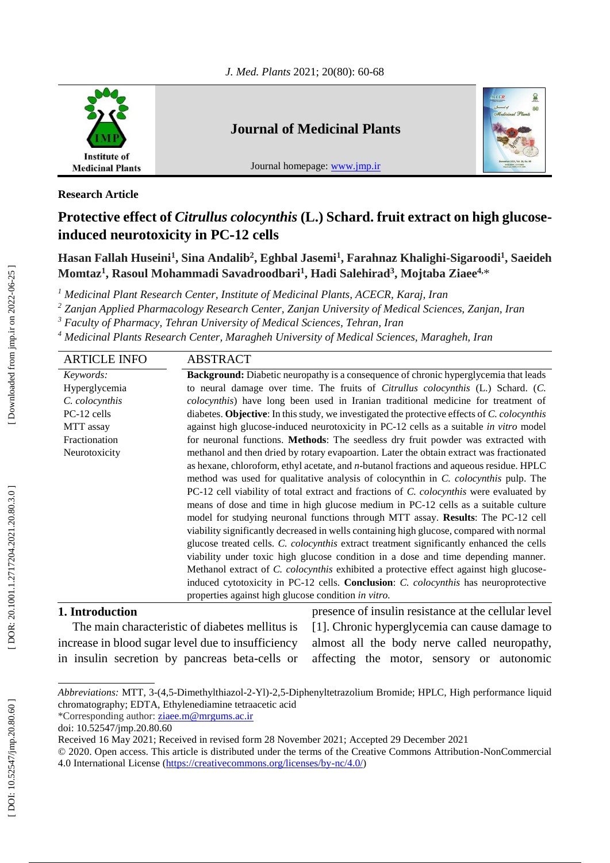

# **Journal of Medicinal Plants**

Journal homepage: [www.jmp.ir](http://www.jmp.ir/)



## **Research Article**

# **Protective effect of** *Citrullus colocynthis* **(L.) Schard. fruit extract on high glucose induced neurotoxicity in PC -12 cells**

**Hasan Fallah Huseini 1 , Sina Andalib 2 , Eghbal Jasemi 1 , Farahnaz Khalighi -Sigaroodi 1 , Sae ideh Momtaz 1 , Rasoul Mohammadi Savadroodbari 1 , Hadi Salehirad 3 , Mojtaba Ziaee4,** \*

*<sup>1</sup> Medicinal Plant Research Center, Institute of Medicinal Plants, ACECR, Karaj, Iran*

*<sup>2</sup> Zanjan Applied Pharmacology Research Center, Zanjan University of Medical Sciences, Zanjan, Iran*

*<sup>3</sup> Faculty of Pharmacy, Tehran University of Medical Sciences, Tehran, Iran*

*<sup>4</sup> Medicinal Plants Research Center, Maragheh University of Medical Sciences, Maragheh, Iran*

| <b>ARTICLE INFO</b> | <b>ABSTRACT</b>                                                                                    |
|---------------------|----------------------------------------------------------------------------------------------------|
| Keywords:           | <b>Background:</b> Diabetic neuropathy is a consequence of chronic hyperglycemia that leads        |
| Hyperglycemia       | to neural damage over time. The fruits of Citrullus colocynthis (L.) Schard. (C.                   |
| C. colocynthis      | colocynthis) have long been used in Iranian traditional medicine for treatment of                  |
| PC-12 cells         | diabetes. Objective: In this study, we investigated the protective effects of C. colocynthis       |
| MTT assay           | against high glucose-induced neurotoxicity in PC-12 cells as a suitable in vitro model             |
| Fractionation       | for neuronal functions. Methods: The seedless dry fruit powder was extracted with                  |
| Neurotoxicity       | methanol and then dried by rotary evapoartion. Later the obtain extract was fractionated           |
|                     | as hexane, chloroform, ethyl acetate, and <i>n</i> -butanol fractions and aqueous residue. HPLC    |
|                     | method was used for qualitative analysis of colocynthin in C. colocynthis pulp. The                |
|                     | PC-12 cell viability of total extract and fractions of C. colocynthis were evaluated by            |
|                     | means of dose and time in high glucose medium in PC-12 cells as a suitable culture                 |
|                     | model for studying neuronal functions through MTT assay. Results: The PC-12 cell                   |
|                     | viability significantly decreased in wells containing high glucose, compared with normal           |
|                     | glucose treated cells. C. colocynthis extract treatment significantly enhanced the cells           |
|                     | viability under toxic high glucose condition in a dose and time depending manner.                  |
|                     | Methanol extract of <i>C. colocynthis</i> exhibited a protective effect against high glucose-      |
|                     | induced cytotoxicity in PC-12 cells. <b>Conclusion</b> : <i>C. colocynthis</i> has neuroprotective |
|                     | properties against high glucose condition in vitro.                                                |
|                     |                                                                                                    |

# **1. Introduction**

The main characteristic of diabetes mellitus is increase in blood sugar level due to insufficiency in insulin secretion by pancreas beta -cells or presence of insulin resistance at the cellular level [1]. Chronic hyperglycemia can cause damage to almost all the body nerve called neuropathy, affecting the motor, sensory or autonomic

Abbreviations: MTT, 3-(4,5-Dimethylthiazol-2-Yl)-2,5-Diphenyltetrazolium Bromide; HPLC, High performance liquid chromatography; EDTA, Ethylenediamine tetraacetic acid

<sup>\*</sup>Corresponding author: [ziaee.m@mrgums.ac.ir](file:///C:/Users/user/Downloads/ziaee.m@mrgums.ac.ir)

doi: [10.52547/jmp.20.80.60](http://dx.doi.org/10.52547/jmp.20.80.60)

Received 1 6 May 202 1; Received in revised form 28 November 2021; Accepted 29 December 2021

<sup>© 2020.</sup> Open access. This article is distributed under the terms of the Creative Commons Attribution -NonCommercial 4.0 International License [\(https://creativecommons.org/licenses/by](https://creativecommons.org/licenses/by-nc/4.0/)-nc/4.0/)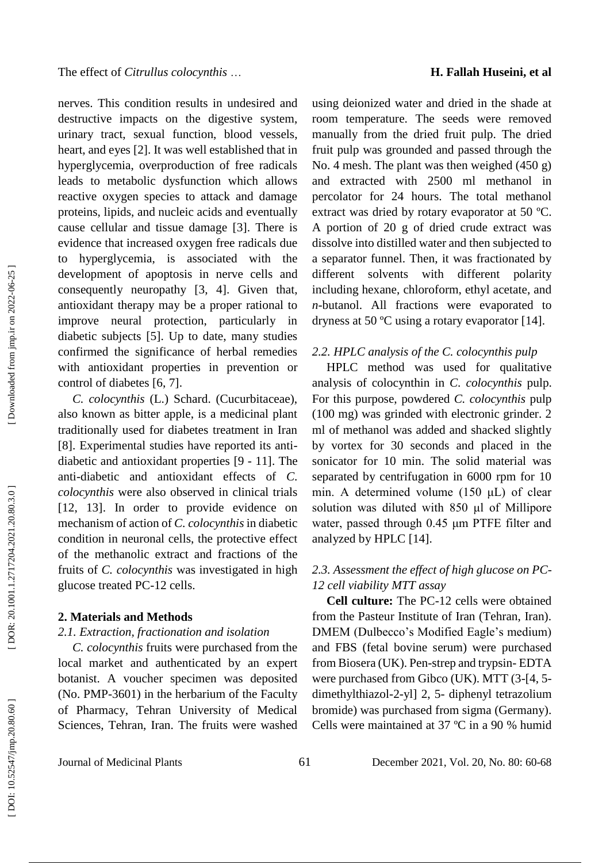nerves. This condition results in undesired and destructive impacts on the digestive system, urinary tract, sexual function, blood vessels, heart, and eyes [2]. It was well established that in hyperglycemia, overproduction of free radicals leads to metabolic dysfunction which allows reactive oxygen species to attack and damage proteins, lipids, and nucleic acids and eventually cause cellular and tissue damage [3]. There is evidence that increased oxygen free radicals due to hyperglycemia, is associated with the development of apoptosis in nerve cells and consequently neuropathy [3, 4]. Given that, antioxidant therapy may be a proper rational to improve neural protection, particularly in diabetic subjects [5]. Up to date, many studies confirmed the significance of herbal remedies with antioxidant properties in prevention or control of diabetes [6, 7] .

*C. colocynthis* (L.) Schard. (Cucurbitaceae), also known as bitter apple, is a medicinal plant traditionally used for diabetes treatment in Iran [8]. Experimental studies have reported its anti diabetic and antioxidant properties [9 - 11]. The anti -diabetic and antioxidant effects of *C. colocynthis* were also observed in clinical trials [12, 13]. In order to provide evidence on mechanism of action of *C. colocynthis* in diabetic condition in neuronal cells, the protective effect of the methanolic extract and fractions of the fruits of *C. colocynthis* was investigated in high glucose treated PC -12 cells.

#### **2. Materials and Methods**

## *2.1 . Extraction, fractionation and isolation*

*C. colocynthis* fruits were purchased from the local market and authenticated by an expert botanist. A voucher specimen was deposited (No. PMP -3601) in the herbarium of the Faculty of Pharmacy, Tehran University of Medical Sciences, Tehran, Iran. The fruits were washed

using deionized water and dried in the shade at room temperature. The seeds were removed manually from the dried fruit pulp. The dried fruit pulp was grounded and passed through the No. 4 mesh. The plant was then weighed (450 g) and extracted with 2500 ml methanol in percolator for 24 hours. The total methanol extract was dried by rotary evaporator at 50 ºC. A portion of 20 g of dried crude extract was dissolve into distilled water and then subjected to a separator funnel. Then, it was fractionated by different solvents with different polarity including hexane, chloroform, ethyl acetate, and *n*-butanol. All fractions were evaporated to dryness at 50 ºC using a rotary evaporator [14] .

#### *2.2. HPLC analysis of the C. colocynthis pulp*

HPLC method was used for qualitative analysis of colocynthin in *C. colocynthis* pulp. For this purpose, powdered *C. colocynthis* pulp (100 mg) was grinded with electronic grinder. 2 ml of methanol was added and shacked slightly by vortex for 30 seconds and placed in the sonicator for 10 min. The solid material was separated by centrifugation in 6000 rpm for 10 min. A determined volume (150 μL) of clear solution was diluted with 850 μl of Millipore water, passed through 0.45 μm PTFE filter and analyzed by HPLC [14].

## *2.3. Assessment the effect of high glucose on PC - 12 cell viability MTT assay*

**Cell culture:** The PC -12 cells were obtained from the Pasteur Institute of Iran (Tehran, Iran). DMEM (Dulbecco's Modified Eagle's medium) and FBS (fetal bovine serum) were purchased from Biosera (UK). Pen -strep and trypsin - EDTA were purchased from Gibco (UK). MTT (3-[4, 5dimethylthiazol-2-yl] 2, 5- diphenyl tetrazolium bromide) was purchased from sigma (Germany). Cells were maintained at 37 ºC in a 90 % humid

Journal of Medicinal Plants 61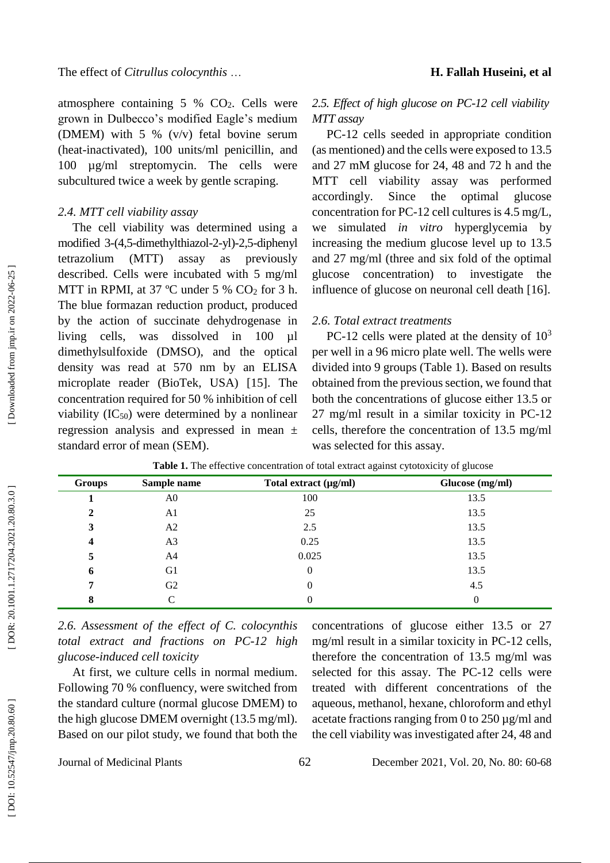atmosphere containing 5 % CO <sup>2</sup>. Cells were grown in Dulbecco's modified Eagle's medium (DMEM) with 5 % (v/v) fetal bovine serum (heat -inactivated), 100 units/ml penicillin, and 100 µg/ml streptomycin. The cells were subcultured twice a week by gentle scraping.

### *2.4. MTT cell viability assay*

The cell viability was determined using a modified 3-(4,5-dimethylthiazol-2-yl)-2,5-diphenyl tetrazolium (MTT) assay as previously described. Cells were incubated with 5 mg/ml MTT in RPMI, at 37 °C under 5 % CO<sub>2</sub> for 3 h. The blue formazan reduction product, produced by the action of succinate dehydrogenase in living cells, was dissolved in 100 µl dimethylsulfoxide (DMSO), and the optical density was read at 570 nm by an ELISA microplate reader (BioTek, USA) [15]. The concentration required for 50 % inhibition of cell viability  $(IC_{50})$  were determined by a nonlinear regression analysis and expressed in mean ± standard error of mean (SEM).

# *2.5. Effect of high glucose on PC -12 cell viability*

*MTT assay* PC -12 cells seeded in appropriate condition (as mentioned) and the cells were exposed to 13.5 and 27 mM glucose for 24, 48 and 72 h and the MTT cell viability assay was performed accordingly. Since the optimal glucose concentration for PC -12 cell cultures is 4.5 mg/L, we simulated *in vitro* hyperglycemia by increasing the medium glucose level up to 13.5 and 27 mg/ml (three and six fold of the optimal glucose concentration) to investigate the influence of glucose on neuronal cell death [16] .

#### *2.6. Total extract treatments*

PC-12 cells were plated at the density of  $10<sup>3</sup>$ per well in a 96 micro plate well. The wells were divided into 9 groups (Table 1). Based on results obtained from the previous section, we found that both the concentrations of glucose either 13.5 or 27 mg/ml result in a similar toxicity in PC -12 cells, therefore the concentration of 13.5 mg/ml was selected for this assay.

| <b>Groups</b> | Sample name    | Total extract $(\mu g/ml)$ | Glucose (mg/ml) |
|---------------|----------------|----------------------------|-----------------|
|               | A <sub>0</sub> | 100                        | 13.5            |
| 2             | A1             | 25                         | 13.5            |
| 3             | A2             | 2.5                        | 13.5            |
| 4             | A3             | 0.25                       | 13.5            |
| 5             | A4             | 0.025                      | 13.5            |
| 6             | G1             | $\overline{0}$             | 13.5            |
| 7             | G <sub>2</sub> | 0                          | 4.5             |
| 8             |                |                            | 0               |

*2.6. Assessment of the effect of C. colocynthis total extract and fractions on PC -12 high glucose -induced cell toxicity*

At first, we culture cells in normal medium. Following 70 % confluency, were switched from the standard culture (normal glucose DMEM) to the high glucose DMEM overnight (13.5 mg/ml). Based on our pilot study, we found that both the

concentrations of glucose either 13.5 or 27 mg/ml result in a similar toxicity in PC -12 cells, therefore the concentration of 13.5 mg/ml was selected for this assay. The PC-12 cells were treated with different concentrations of the aqueous, methanol, hexane, chloroform and ethyl acetate fractions ranging from 0 to  $250 \mu g/ml$  and the cell viability was investigated after 24, 48 and

Journal of Medicinal Plants 62

1, Vol. 20, No. 80: 60 -68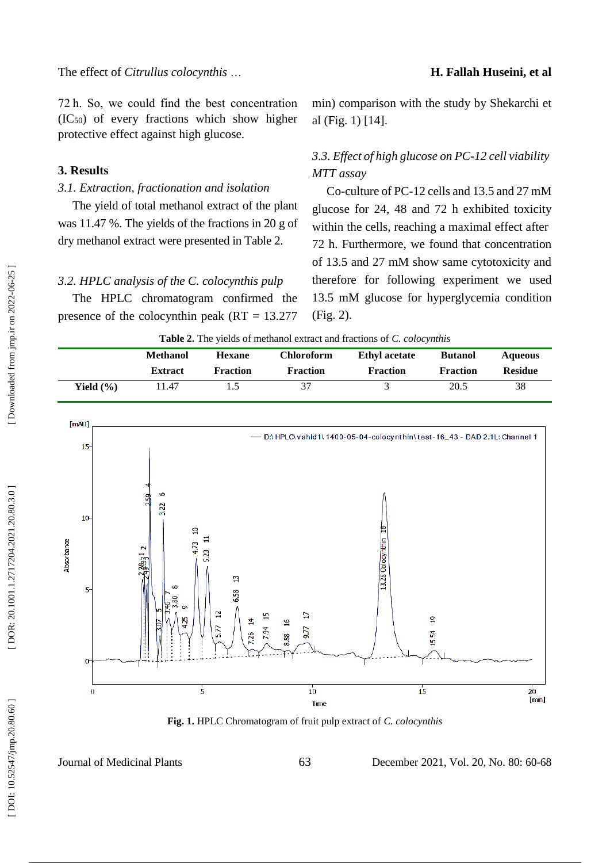#### **H. Fallah Huseini, et al**

72 h. So, we could find the best concentration  $(IC<sub>50</sub>)$  of every fractions which show higher protective effect against high glucose.

#### **3. Results**

## *3.1. Extraction, fractionation and isolation*

The yield of total methanol extract of the plant was 11.47 %. The yields of the fractions in 20 g of dry methanol extract were presented in Table 2.

*3.2. HPLC analysis of the C. colocynthis pulp*

The HPLC chromatogram confirmed the presence of the colocynthin peak  $(RT = 13.277)$ 

min) comparison with the study by Shekarchi et al (Fig. 1) [14].

# *3.3. Effect of high glucose on PC -12 cell viability MTT assay*

Co -culture of PC -12 cells and 13.5 and 27 mM glucose for 24, 48 and 72 h exhibited toxicity within the cells, reaching a maximal effect after 72 h. Furthermore, we found that concentration of 13.5 and 27 mM show same cytotoxicity and therefore for following experiment we used 13.5 mM glucose for hyperglycemia condition (Fig. 2).

|               | <b>Methanol</b> | <b>Hexane</b>   | Chloroform      | <b>Ethyl</b> acetate | <b>Butanol</b>  | <b>Aqueous</b> |
|---------------|-----------------|-----------------|-----------------|----------------------|-----------------|----------------|
|               | <b>Extract</b>  | <b>Fraction</b> | <b>Fraction</b> | <b>Fraction</b>      | <b>Fraction</b> | <b>Residue</b> |
| Yield $(\% )$ | 1.47            |                 | 37              |                      | 20.5            | 38             |



**Fig. 1.** HPLC Chromatogram of fruit pulp extract of *C. colocynthis*

Journal of Medicinal Plants 63

1, Vol. 20, No. 80: 60 -68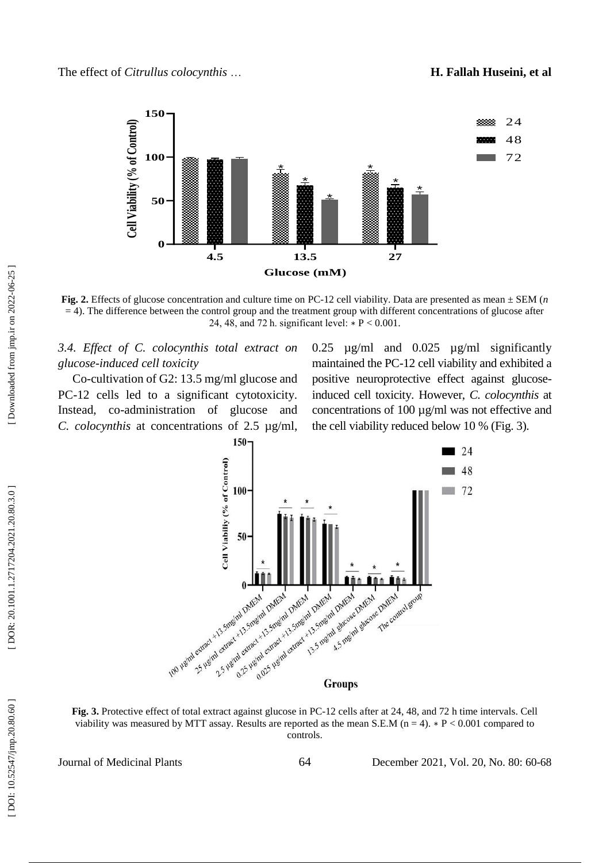

Fig. 2. Effects of glucose concentration and culture time on PC-12 cell viability. Data are presented as mean  $\pm$  SEM (*n*  $=$  4). The difference between the control group and the treatment group with different concentrations of glucose after 24, 48, and 72 h. significant level:  $* P < 0.001$ .

*3.4. Effect of C. colocynthis total extract on glucose -induced cell toxicity*

Co -cultivation of G2: 13.5 mg/ml glucose and PC -12 cells led to a significant cytotoxicity. Instead, co -administration of glucose and *C. colocynthis* at concentrations of 2.5 µg/ml,

0.25 µg/ml and 0.025 µg/ml significantly maintained the PC -12 cell viability and exhibited a positive neuroprotective effect against glucose induced cell toxicity. However, *C. colocynthis* at concentrations of 100  $\mu$ g/ml was not effective and the cell viability reduced below 10 % (Fig. 3).



Fig. 3. Protective effect of total extract against glucose in PC-12 cells after at 24, 48, and 72 h time intervals. Cell viability was measured by MTT assay. Results are reported as the mean S.E.M ( $n = 4$ ).  $* P < 0.001$  compared to controls.

Journal of Medicinal Plants 64

December 2021, Vol. 20, No. 80: 60-68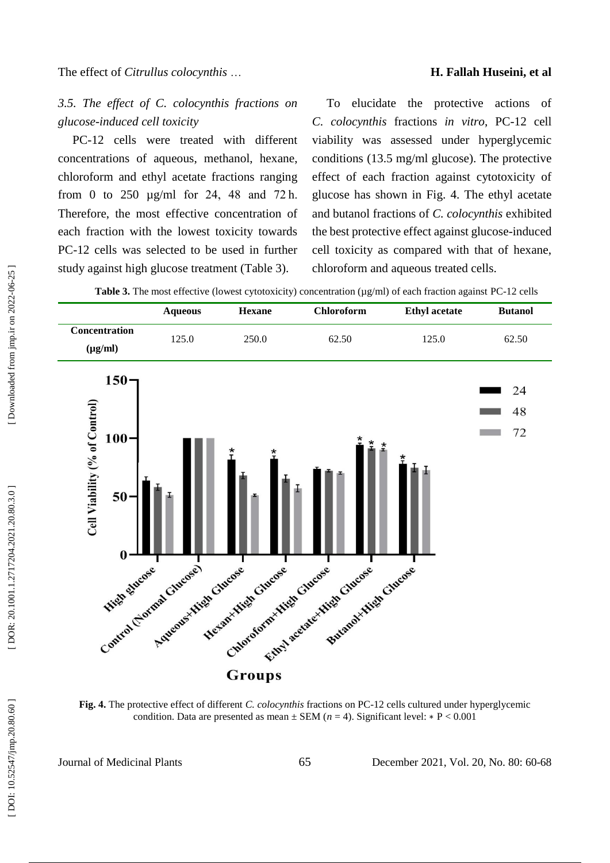#### **H. Fallah Huseini, et al**

*3.5. The effect of C. colocynthis fractions on glucose -induced cell toxicity*

PC -12 cells were treated with different concentrations of aqueous, methanol, hexane, chloroform and ethyl acetate fractions ranging from 0 to 250 µg/ml for 24, 48 and 72 h. Therefore, the most effective concentration of each fraction with the lowest toxicity towards PC -12 cells was selected to be used in further study against high glucose treatment (Table 3).

To elucidate the protective actions of *C. colocynthis* fractions *in vitro* , PC -12 cell viability was assessed under hyperglycemic conditions (13.5 mg/ml glucose). The protective effect of each fraction against cytotoxicity of glucose has shown in Fig. 4. The ethyl acetate and butanol fractions of *C. colocynthis* exhibited the best protective effect against glucose -induced cell toxicity as compared with that of hexane, chloroform and aqueous treated cells.

Table 3. The most effective (lowest cytotoxicity) concentration ( $\mu$ g/ml) of each fraction against PC-12 cells



**Fig. 4.** The protective effect of different *C. colocynthis* fractions on PC -12 cells cultured under hyperglycemic condition. Data are presented as mean  $\pm$  SEM ( $n = 4$ ). Significant level:  $* P < 0.001$ 

Journal of Medicinal Plants 65

1, Vol. 20, No. 80: 60 -68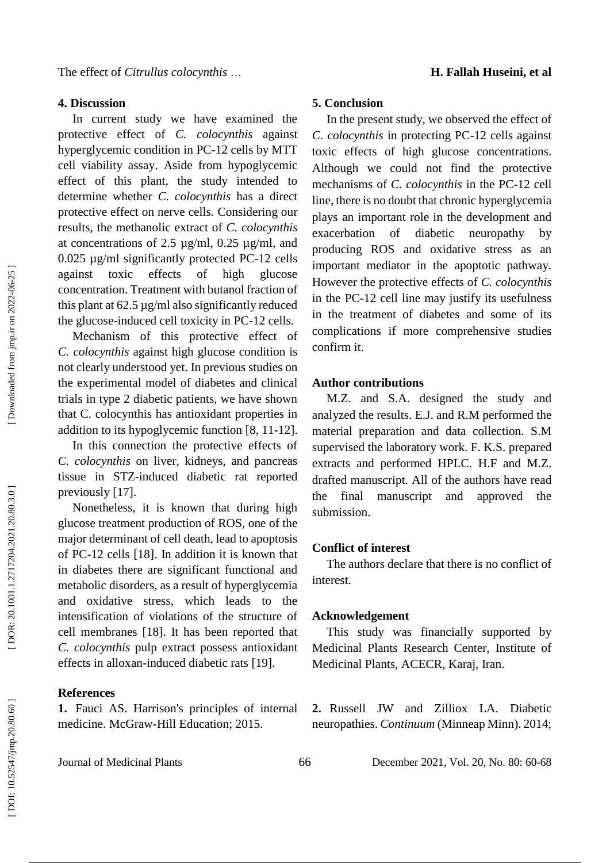#### **4. Discussion**

In current study we have examined the protective effect of *C. colocynthis* against hyperglycemic condition in PC -12 cells by MTT cell viability assay. Aside from hypoglycemic effect of this plant, the study intended to determine whether *C. colocynthis* has a direct protective effect on nerve cells. Considering our results, the methanolic extract of *C. colocynthis*  at concentrations of 2.5 µg/ml, 0.25 µg/ml, and 0.025 µg/ml significantly protected PC -12 cells against toxic effects of high glucose concentration. Treatment with butanol fraction of this plant at 62.5 µg/ml also significantly reduced the glucose -induced cell toxicity in PC -12 cells.

Mechanism of this protective effect of *C. colocynthis* against high glucose condition is not clearly understood yet. In previous studies on the experimental model of diabetes and clinical trials in type 2 diabetic patients, we have shown that C. colocynthis has antioxidant properties in addition to its hypoglycemic function [8, 11 -12] .

In this connection the protective effects of *C. colocynthis* on liver, kidneys, and pancreas tissue in STZ -induced diabetic rat reported previously [17].

Nonetheless, it is known that during high glucose treatment production of ROS, one of the major determinant of cell death, lead to apoptosis of PC -12 cells [18]. In addition it is known that in diabetes there are significant functional and metabolic disorders, as a result of hyperglycemia and oxidative stress, which leads to the intensification of violations of the structure of cell membranes [18]. It has been reported that *C. colocynthis* pulp extract possess antioxidant effects in alloxan -induced diabetic rats [19] .

#### **References**

**1.** Fauci AS. Harrison's principles of internal medicine. McGraw -Hill Education; 2015.

# **5. Conclusion**

In the present study, we observed the effect of *C. colocynthis* in protecting PC -12 cells against toxic effects of high glucose concentrations. Although we could not find the protective mechanisms of *C. colocynthis* in the PC -12 cell line, there is no doubt that chronic hyperglycemia plays an important role in the development and exacerbation of diabetic neuropathy by producing ROS and oxidative stress as an important mediator in the apoptotic pathway. However the protective effects of *C. colocynthis* in the PC -12 cell line may justify its usefulness in the treatment of diabetes and some of its complications if more comprehensive studies confirm it.

#### **Author contributions**

M.Z. and S.A. designed the study and analyzed the results. E.J. and R.M performed the material preparation and data collection. S.M supervised the laboratory work. F. K.S . prepared extracts and performed HPLC. H.F and M.Z . drafted manuscript. All of the authors have read the final manuscript and approved the submission.

#### **Conflict of interest**

The authors declare that there is no conflict of interest.

#### **Acknowledgement**

This study was financially supported by Medicinal Plants Research Center, Institute of Medicinal Plants, ACECR, Karaj, Iran.

**2 .** Russell JW and Zilliox LA. Diabetic neuropathies. *Continuum* (Minneap Minn). 2014;

Journal of Medicinal Plants 66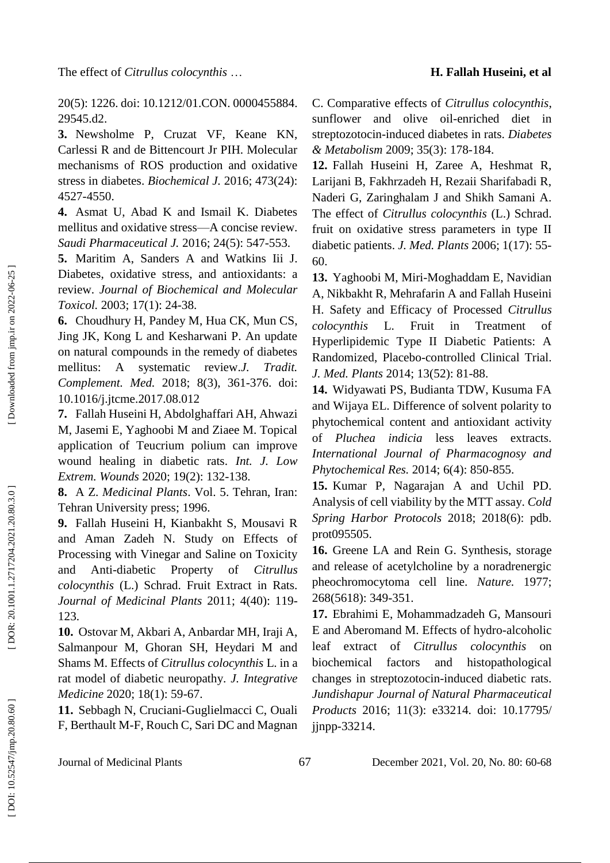20(5): 1226. doi: 10.1212/01.CON. 0000455884. 29545.d2.

**3.** Newsholme P, Cruzat VF, Keane KN, Carlessi R and de Bittencourt Jr PIH. Molecular mechanisms of ROS production and oxidative stress in diabetes. *Biochemical J.* 2016; 473(24): 4527 -4550.

**4 .** Asmat U, Abad K and Ismail K. Diabetes mellitus and oxidative stress — A concise review. *Saudi Pharmaceutical J.* 2016; 24(5): 547 -553.

**5 .** Maritim A, Sanders A and Watkins Iii J. Diabetes, oxidative stress, and antioxidants: a review. *Journal of Biochemical and Molecular Toxicol.* 2003; 17(1): 24 -38.

**6 .** Choudhury H, Pandey M, Hua CK, Mun CS, Jing JK, Kong L and Kesharwani P. An update on natural compounds in the remedy of diabetes mellitus: A systematic review.*J. Tradit. Complement. Med.* 2018; 8(3), 361 -376. doi: 10.1016/j.jtcme.2017.08.012

**7.** Fallah Huseini H, Abdolghaffari AH, Ahwazi M, Jasemi E, Yaghoobi M and Ziaee M. Topical application of Teucrium polium can improve wound healing in diabetic rats. *Int . J. Low Extrem . Wounds* 2020; 19(2): 132 -138.

**8 .** A Z. *Medicinal Plants*. Vol. 5. Tehran, Iran: Tehran University press; 1996.

**9.** Fallah Huseini H, Kianbakht S, Mousavi R and Aman Zadeh N. Study on Effects of Processing with Vinegar and Saline on Toxicity and Anti -diabetic Property of *Citrullus colocynthis* (L.) Schrad. Fruit Extract in Rats. *Journal of Medicinal Plants* 2011; 4(40): 119 - 123.

**10 .** Ostovar M, Akbari A, Anbardar MH, Iraji A, Salmanpour M, Ghoran SH, Heydari M and Shams M. Effects of *Citrullus colocynthis* L. in a rat model of diabetic neuropathy. *J. Integrative Medicine* 2020; 18(1): 59 -67.

**11 .** Sebbagh N, Cruciani -Guglielmacci C, Ouali F, Berthault M -F, Rouch C, Sari DC and Magnan C. Comparative effects of *Citrullus colocynthis*, sunflower and olive oil -enriched diet in streptozotocin -induced diabetes in rats. *Diabetes & Metabolism* 2009; 35(3): 17 8 -184.

**12 .** Fallah Huseini H, Zaree A, Heshmat R, Larijani B, Fakhrzadeh H, Rezaii Sharifabadi R, Naderi G, Zaringhalam J and Shikh Samani A. The effect of *Citrullus colocynthis* (L.) Schrad. fruit on oxidative stress parameters in type II diabetic patients. *J. Med . Plants* 2006; 1(17): 55 - 60.

**13 .** Yaghoobi M, Miri -Moghaddam E, Navidian A, Nikbakht R, Mehrafarin A and Fallah Huseini H. Safety and Efficacy of Processed *Citrullus colocynthis* L. Fruit in Treatment of Hyperlipidemic Type II Diabetic Patients: A Randomized, Placebo -controlled Clinical Trial. *J. Med . Plants* 2014; 13(52): 81 -88.

**14 .** Widyawati PS, Budianta TDW, Kusuma FA and Wijaya EL. Difference of solvent polarity to phytochemical content and antioxidant activity of *Pluchea indicia* less leaves extracts. *International Journal of Pharmacognosy and Phytochemical Res.* 2014; 6(4): 850 -855.

**15 .** Kumar P, Nagarajan A and Uchil PD. Analysis of cell viability by the MTT assay. *Cold Spring Harbor Protocols* 2018; 2018(6): pdb. prot095505.

**16 .** Greene LA and Rein G. Synthesis, storage and release of acetylcholine by a noradrenergic pheochromocytoma cell line. *Nature.* 1977; 268(5618): 349 -351.

**17 .** Ebrahimi E, Mohammadzadeh G, Mansouri E and Aberomand M. Effects of hydro -alcoholic leaf extract of *Citrullus colocynthis* on biochemical factors and histopathological changes in streptozotocin -induced diabetic rats. *Jundishapur Journal of Natural Pharmaceutical Products* 2016; 11(3): e33214. [doi: 10.17795/](https://dx.doi.org/10.17795/jjnpp-33214) jjnpp [-33214](https://dx.doi.org/10.17795/jjnpp-33214) .

Downloaded from jmp.ir on 2022-06-25

Journal of Medicinal Plants 67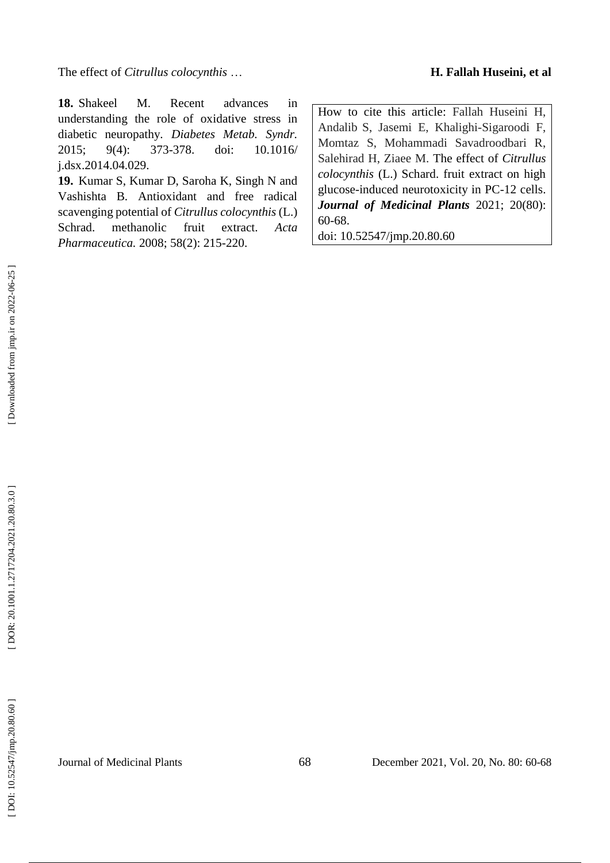The effect of *Citrullus colocynthis*

**18 .** Shakeel M. Recent advances in understanding the role of oxidative stress in diabetic neuropathy. *Diabetes Metab . Syndr.* 2015; 9(4): 373 doi: 10.1016/ j.dsx.2014.04.029.

**19 .** Kumar S, Kumar D, Saroha K, Singh N and Vashishta B. Antioxidant and free radical scavenging potential of *Citrullus colocynthis* (L.) Schrad. methanolic fruit extract. *Acta Pharmaceutica.* 2008; 58(2): 215 -220.

How to cite this article: Fallah Huseini H, Andalib S, Jasemi E, Khalighi -Sigaroodi F, Momtaz S, Mohammadi Savadroodbari R, Salehirad H, Ziaee M. The effect of *Citrullus colocynthis* (L.) Schard. fruit extract on high glucose -induced neurotoxicity in PC -12 cells . *Journal of Medicinal Plants* 2021; 20(80): 60 -68. doi: [10.52547/jmp.20.80.60](http://dx.doi.org/10.52547/jmp.20.80.60)